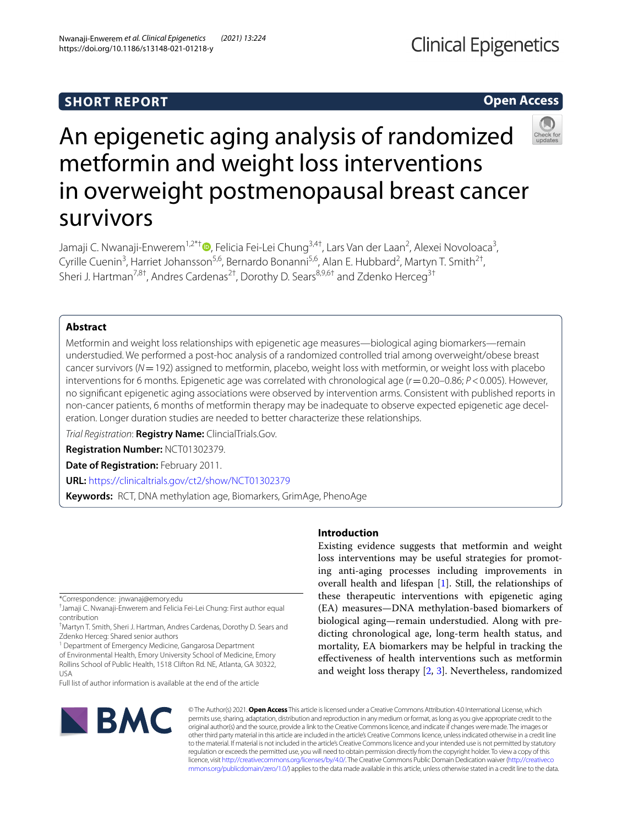# **SHORT REPORT**

# **Open Access**



# An epigenetic aging analysis of randomized metformin and weight loss interventions in overweight postmenopausal breast cancer survivors

Jamaji C. Nwanaji-Enwerem<sup>1,2\*†</sup>®[,](http://orcid.org/0000-0003-0356-4867) Felicia Fei-Lei Chung<sup>3,4†</sup>, Lars Van der Laan<sup>2</sup>, Alexei Novoloaca<sup>3</sup>, Cyrille Cuenin<sup>3</sup>, Harriet Johansson<sup>5,6</sup>, Bernardo Bonanni<sup>5,6</sup>, Alan E. Hubbard<sup>2</sup>, Martyn T. Smith<sup>2†</sup>, Sheri J. Hartman<sup>7,8†</sup>, Andres Cardenas<sup>2†</sup>, Dorothy D. Sears<sup>8,9,6†</sup> and Zdenko Herceg<sup>3†</sup>

### **Abstract**

Metformin and weight loss relationships with epigenetic age measures—biological aging biomarkers—remain understudied. We performed a post-hoc analysis of a randomized controlled trial among overweight/obese breast cancer survivors (*N*=192) assigned to metformin, placebo, weight loss with metformin, or weight loss with placebo interventions for 6 months. Epigenetic age was correlated with chronological age (*r*=0.20–0.86; *P*<0.005). However, no signifcant epigenetic aging associations were observed by intervention arms. Consistent with published reports in non-cancer patients, 6 months of metformin therapy may be inadequate to observe expected epigenetic age deceleration. Longer duration studies are needed to better characterize these relationships.

*Trial Registration*: **Registry Name:** ClincialTrials.Gov.

**Registration Number:** NCT01302379.

**Date of Registration:** February 2011.

**URL:** <https://clinicaltrials.gov/ct2/show/NCT01302379>

**Keywords:** RCT, DNA methylation age, Biomarkers, GrimAge, PhenoAge

\*Correspondence: jnwanaj@emory.edu

† Jamaji C. Nwanaji-Enwerem and Felicia Fei-Lei Chung: First author equal contribution

<sup>1</sup> Department of Emergency Medicine, Gangarosa Department of Environmental Health, Emory University School of Medicine, Emory Rollins School of Public Health, 1518 Clifton Rd. NE, Atlanta, GA 30322, USA

Full list of author information is available at the end of the article

# **BMC**

## **Introduction**

Existing evidence suggests that metformin and weight loss interventions may be useful strategies for promoting anti-aging processes including improvements in overall health and lifespan [\[1](#page-5-0)]. Still, the relationships of these therapeutic interventions with epigenetic aging (EA) measures—DNA methylation-based biomarkers of biological aging—remain understudied. Along with predicting chronological age, long-term health status, and mortality, EA biomarkers may be helpful in tracking the efectiveness of health interventions such as metformin and weight loss therapy [\[2](#page-5-1), [3](#page-5-2)]. Nevertheless, randomized

© The Author(s) 2021. **Open Access** This article is licensed under a Creative Commons Attribution 4.0 International License, which permits use, sharing, adaptation, distribution and reproduction in any medium or format, as long as you give appropriate credit to the original author(s) and the source, provide a link to the Creative Commons licence, and indicate if changes were made. The images or other third party material in this article are included in the article's Creative Commons licence, unless indicated otherwise in a credit line to the material. If material is not included in the article's Creative Commons licence and your intended use is not permitted by statutory regulation or exceeds the permitted use, you will need to obtain permission directly from the copyright holder. To view a copy of this licence, visit [http://creativecommons.org/licenses/by/4.0/.](http://creativecommons.org/licenses/by/4.0/) The Creative Commons Public Domain Dedication waiver ([http://creativeco](http://creativecommons.org/publicdomain/zero/1.0/) [mmons.org/publicdomain/zero/1.0/](http://creativecommons.org/publicdomain/zero/1.0/)) applies to the data made available in this article, unless otherwise stated in a credit line to the data.

<sup>†</sup> Martyn T. Smith, Sheri J. Hartman, Andres Cardenas, Dorothy D. Sears and Zdenko Herceg: Shared senior authors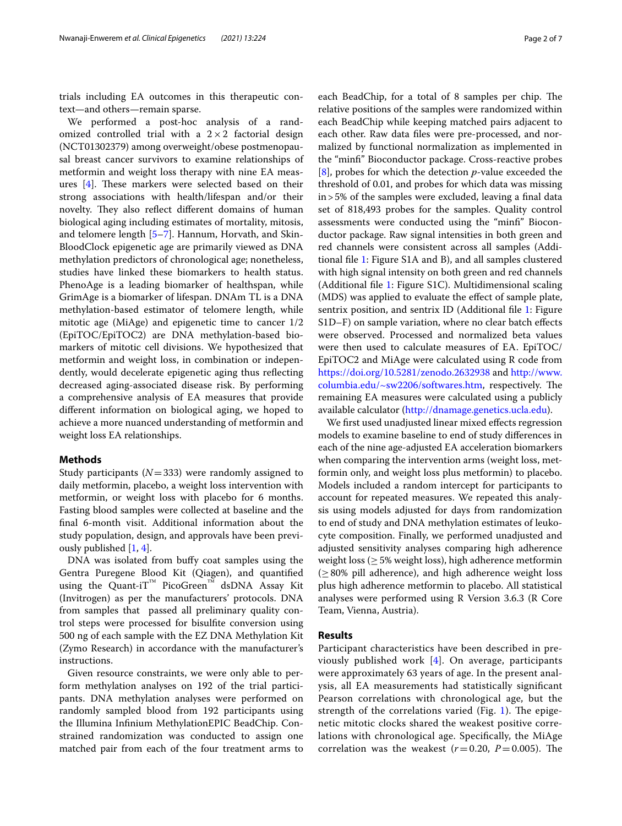trials including EA outcomes in this therapeutic context—and others—remain sparse.

We performed a post-hoc analysis of a randomized controlled trial with a  $2 \times 2$  factorial design (NCT01302379) among overweight/obese postmenopausal breast cancer survivors to examine relationships of metformin and weight loss therapy with nine EA measures  $[4]$  $[4]$ . These markers were selected based on their strong associations with health/lifespan and/or their novelty. They also reflect different domains of human biological aging including estimates of mortality, mitosis, and telomere length [[5–](#page-5-4)[7\]](#page-5-5). Hannum, Horvath, and Skin-BloodClock epigenetic age are primarily viewed as DNA methylation predictors of chronological age; nonetheless, studies have linked these biomarkers to health status. PhenoAge is a leading biomarker of healthspan, while GrimAge is a biomarker of lifespan. DNAm TL is a DNA methylation-based estimator of telomere length, while mitotic age (MiAge) and epigenetic time to cancer 1/2 (EpiTOC/EpiTOC2) are DNA methylation-based biomarkers of mitotic cell divisions. We hypothesized that metformin and weight loss, in combination or independently, would decelerate epigenetic aging thus refecting decreased aging-associated disease risk. By performing a comprehensive analysis of EA measures that provide diferent information on biological aging, we hoped to achieve a more nuanced understanding of metformin and weight loss EA relationships.

#### **Methods**

Study participants (*N*=333) were randomly assigned to daily metformin, placebo, a weight loss intervention with metformin, or weight loss with placebo for 6 months. Fasting blood samples were collected at baseline and the fnal 6-month visit. Additional information about the study population, design, and approvals have been previously published [[1,](#page-5-0) [4](#page-5-3)].

DNA was isolated from bufy coat samples using the Gentra Puregene Blood Kit (Qiagen), and quantifed using the Quant-iT™ PicoGreen™ dsDNA Assay Kit (Invitrogen) as per the manufacturers' protocols. DNA from samples that passed all preliminary quality control steps were processed for bisulfte conversion using 500 ng of each sample with the EZ DNA Methylation Kit (Zymo Research) in accordance with the manufacturer's instructions.

Given resource constraints, we were only able to perform methylation analyses on 192 of the trial participants. DNA methylation analyses were performed on randomly sampled blood from 192 participants using the Illumina Infnium MethylationEPIC BeadChip. Constrained randomization was conducted to assign one matched pair from each of the four treatment arms to each BeadChip, for a total of 8 samples per chip. The relative positions of the samples were randomized within each BeadChip while keeping matched pairs adjacent to each other. Raw data fles were pre-processed, and normalized by functional normalization as implemented in the "minf" Bioconductor package. Cross-reactive probes [[8\]](#page-5-6), probes for which the detection *p*-value exceeded the threshold of 0.01, and probes for which data was missing in>5% of the samples were excluded, leaving a fnal data set of 818,493 probes for the samples. Quality control assessments were conducted using the "minf" Bioconductor package. Raw signal intensities in both green and red channels were consistent across all samples (Additional fle [1:](#page-5-7) Figure S1A and B), and all samples clustered with high signal intensity on both green and red channels (Additional fle [1:](#page-5-7) Figure S1C). Multidimensional scaling (MDS) was applied to evaluate the effect of sample plate, sentrix position, and sentrix ID (Additional fle [1:](#page-5-7) Figure S1D–F) on sample variation, where no clear batch efects were observed. Processed and normalized beta values were then used to calculate measures of EA. EpiTOC/ EpiTOC2 and MiAge were calculated using R code from <https://doi.org/10.5281/zenodo.2632938> and [http://www.](http://www.columbia.edu/~sw2206/softwares.htm) [columbia.edu/~sw2206/softwares.htm](http://www.columbia.edu/~sw2206/softwares.htm), respectively. The remaining EA measures were calculated using a publicly available calculator [\(http://dnamage.genetics.ucla.edu](http://dnamage.genetics.ucla.edu)).

We frst used unadjusted linear mixed efects regression models to examine baseline to end of study diferences in each of the nine age-adjusted EA acceleration biomarkers when comparing the intervention arms (weight loss, metformin only, and weight loss plus metformin) to placebo. Models included a random intercept for participants to account for repeated measures. We repeated this analysis using models adjusted for days from randomization to end of study and DNA methylation estimates of leukocyte composition. Finally, we performed unadjusted and adjusted sensitivity analyses comparing high adherence weight loss ( $\geq$  5% weight loss), high adherence metformin  $(≥ 80%$  pill adherence), and high adherence weight loss plus high adherence metformin to placebo. All statistical analyses were performed using R Version 3.6.3 (R Core Team, Vienna, Austria).

#### **Results**

Participant characteristics have been described in previously published work [[4](#page-5-3)]. On average, participants were approximately 63 years of age. In the present analysis, all EA measurements had statistically signifcant Pearson correlations with chronological age, but the strength of the correlations varied (Fig.  $1$ ). The epigenetic mitotic clocks shared the weakest positive correlations with chronological age. Specifcally, the MiAge correlation was the weakest  $(r=0.20, P=0.005)$ . The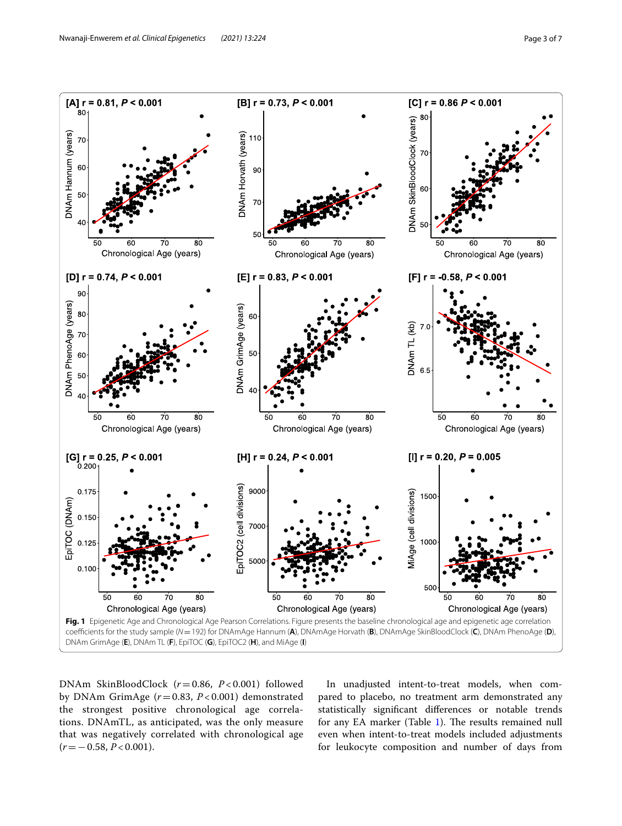

<span id="page-2-0"></span>DNAm SkinBloodClock (*r*=0.86, *P* < 0.001) followed by DNAm GrimAge (*r*=0.83, *P* < 0.001) demonstrated the strongest positive chronological age correlations. DNAmTL, as anticipated, was the only measure that was negatively correlated with chronological age (*r*=−0.58, *P* < 0.001).

In unadjusted intent-to-treat models, when compared to placebo, no treatment arm demonstrated any statistically signifcant diferences or notable trends for any EA marker (Table [1\)](#page-3-0). The results remained null even when intent-to-treat models included adjustments for leukocyte composition and number of days from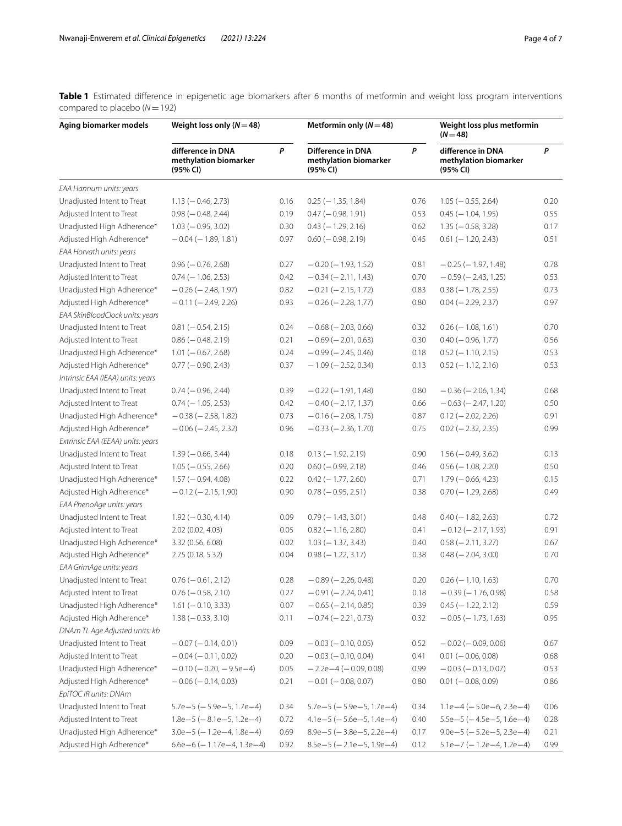<span id="page-3-0"></span>**Table 1** Estimated difference in epigenetic age biomarkers after 6 months of metformin and weight loss program interventions compared to placebo (*N*=192)

| Aging biomarker models            | Weight loss only $(N=48)$                              |      | Metformin only ( $N = 48$ )                            |      | Weight loss plus metformin<br>$(N = 48)$               |      |
|-----------------------------------|--------------------------------------------------------|------|--------------------------------------------------------|------|--------------------------------------------------------|------|
|                                   | difference in DNA<br>methylation biomarker<br>(95% CI) | P    | Difference in DNA<br>methylation biomarker<br>(95% CI) | P    | difference in DNA<br>methylation biomarker<br>(95% CI) | P    |
| EAA Hannum units: years           |                                                        |      |                                                        |      |                                                        |      |
| Unadjusted Intent to Treat        | $1.13 (-0.46, 2.73)$                                   | 0.16 | $0.25$ (-1.35, 1.84)                                   | 0.76 | $1.05 (-0.55, 2.64)$                                   | 0.20 |
| Adjusted Intent to Treat          | $0.98 (-0.48, 2.44)$                                   | 0.19 | $0.47 (-0.98, 1.91)$                                   | 0.53 | $0.45$ (-1.04, 1.95)                                   | 0.55 |
| Unadjusted High Adherence*        | $1.03 (-0.95, 3.02)$                                   | 0.30 | $0.43$ (-1.29, 2.16)                                   | 0.62 | $1.35 (-0.58, 3.28)$                                   | 0.17 |
| Adjusted High Adherence*          | $-0.04$ ( $-1.89$ , 1.81)                              | 0.97 | $0.60 (-0.98, 2.19)$                                   | 0.45 | $0.61$ (-1.20, 2.43)                                   | 0.51 |
| EAA Horvath units: years          |                                                        |      |                                                        |      |                                                        |      |
| Unadjusted Intent to Treat        | $0.96 (-0.76, 2.68)$                                   | 0.27 | $-0.20$ ( $-1.93$ , 1.52)                              | 0.81 | $-0.25$ ( $-1.97$ , 1.48)                              | 0.78 |
| Adjusted Intent to Treat          | $0.74 (-1.06, 2.53)$                                   | 0.42 | $-0.34 (-2.11, 1.43)$                                  | 0.70 | $-0.59$ ( $-2.43$ , 1.25)                              | 0.53 |
| Unadjusted High Adherence*        | $-0.26$ ( $-2.48$ , 1.97)                              | 0.82 | $-0.21 (-2.15, 1.72)$                                  | 0.83 | $0.38 (-1.78, 2.55)$                                   | 0.73 |
| Adjusted High Adherence*          | $-0.11 (-2.49, 2.26)$                                  | 0.93 | $-0.26$ ( $-2.28$ , 1.77)                              | 0.80 | $0.04 (-2.29, 2.37)$                                   | 0.97 |
| EAA SkinBloodClock units: years   |                                                        |      |                                                        |      |                                                        |      |
| Unadjusted Intent to Treat        | $0.81 (-0.54, 2.15)$                                   | 0.24 | $-0.68$ ( $-2.03$ , 0.66)                              | 0.32 | $0.26$ (-1.08, 1.61)                                   | 0.70 |
| Adjusted Intent to Treat          | $0.86 (-0.48, 2.19)$                                   | 0.21 | $-0.69$ ( $-2.01$ , 0.63)                              | 0.30 | $0.40 (-0.96, 1.77)$                                   | 0.56 |
| Unadjusted High Adherence*        | $1.01 (-0.67, 2.68)$                                   | 0.24 | $-0.99$ ( $-2.45$ , 0.46)                              | 0.18 | $0.52$ (-1.10, 2.15)                                   | 0.53 |
| Adjusted High Adherence*          | $0.77 (-0.90, 2.43)$                                   | 0.37 | $-1.09$ ( $-2.52$ , 0.34)                              | 0.13 | $0.52$ (-1.12, 2.16)                                   | 0.53 |
| Intrinsic EAA (IEAA) units: years |                                                        |      |                                                        |      |                                                        |      |
| Unadjusted Intent to Treat        | $0.74 (-0.96, 2.44)$                                   | 0.39 | $-0.22$ ( $-1.91$ , 1.48)                              | 0.80 | $-0.36$ ( $-2.06$ , 1.34)                              | 0.68 |
| Adjusted Intent to Treat          | $0.74 (-1.05, 2.53)$                                   | 0.42 | $-0.40$ ( $-2.17$ , 1.37)                              | 0.66 | $-0.63$ ( $-2.47$ , 1.20)                              | 0.50 |
| Unadjusted High Adherence*        | $-0.38$ ( $-2.58$ , 1.82)                              | 0.73 | $-0.16$ ( $-2.08$ , 1.75)                              | 0.87 | $0.12 (-2.02, 2.26)$                                   | 0.91 |
| Adjusted High Adherence*          | $-0.06$ ( $-2.45$ , 2.32)                              | 0.96 | $-0.33 (-2.36, 1.70)$                                  | 0.75 | $0.02$ (-2.32, 2.35)                                   | 0.99 |
| Extrinsic EAA (EEAA) units: years |                                                        |      |                                                        |      |                                                        |      |
| Unadjusted Intent to Treat        | $1.39(-0.66, 3.44)$                                    | 0.18 | $0.13 (-1.92, 2.19)$                                   | 0.90 | $1.56 (-0.49, 3.62)$                                   | 0.13 |
| Adjusted Intent to Treat          | $1.05 (-0.55, 2.66)$                                   | 0.20 | $0.60 (-0.99, 2.18)$                                   | 0.46 | $0.56$ ( $-1.08$ , 2.20)                               | 0.50 |
| Unadjusted High Adherence*        | $1.57 (-0.94, 4.08)$                                   | 0.22 | $0.42$ (-1.77, 2.60)                                   | 0.71 | $1.79 (-0.66, 4.23)$                                   | 0.15 |
| Adjusted High Adherence*          | $-0.12$ ( $-2.15$ , 1.90)                              | 0.90 | $0.78 (-0.95, 2.51)$                                   | 0.38 | $0.70 (-1.29, 2.68)$                                   | 0.49 |
| EAA PhenoAge units: years         |                                                        |      |                                                        |      |                                                        |      |
| Unadjusted Intent to Treat        | $1.92 (-0.30, 4.14)$                                   | 0.09 | $0.79(-1.43, 3.01)$                                    | 0.48 | $0.40 (-1.82, 2.63)$                                   | 0.72 |
| Adjusted Intent to Treat          | 2.02 (0.02, 4.03)                                      | 0.05 | $0.82$ (-1.16, 2.80)                                   | 0.41 | $-0.12$ ( $-2.17$ , 1.93)                              | 0.91 |
| Unadjusted High Adherence*        | 3.32 (0.56, 6.08)                                      | 0.02 | $1.03 (-1.37, 3.43)$                                   | 0.40 | $0.58 (-2.11, 3.27)$                                   | 0.67 |
| Adjusted High Adherence*          | 2.75 (0.18, 5.32)                                      | 0.04 | $0.98 (-1.22, 3.17)$                                   | 0.38 | $0.48 (-2.04, 3.00)$                                   | 0.70 |
| EAA GrimAge units: years          |                                                        |      |                                                        |      |                                                        |      |
| Unadjusted Intent to Treat        | $0.76 (-0.61, 2.12)$                                   | 0.28 | $-0.89$ ( $-2.26$ , 0.48)                              | 0.20 | $0.26$ (-1.10, 1.63)                                   | 0.70 |
| Adjusted Intent to Treat          | $0.76 (-0.58, 2.10)$                                   | 0.27 | $-0.91 (-2.24, 0.41)$                                  | 0.18 | $-0.39$ ( $-1.76$ , 0.98)                              | 0.58 |
| Unadjusted High Adherence*        | $1.61 (-0.10, 3.33)$                                   | 0.07 | $-0.65$ ( $-2.14$ , 0.85)                              | 0.39 | $0.45$ (-1.22, 2.12)                                   | 0.59 |
| Adjusted High Adherence*          | $1.38 (-0.33, 3.10)$                                   | 0.11 | $-0.74 (-2.21, 0.73)$                                  | 0.32 | $-0.05$ ( $-1.73$ , 1.63)                              | 0.95 |
| DNAm TL Age Adjusted units: kb    |                                                        |      |                                                        |      |                                                        |      |
| Unadjusted Intent to Treat        | $-0.07$ ( $-0.14$ , 0.01)                              | 0.09 | $-0.03$ ( $-0.10$ , 0.05)                              | 0.52 | $-0.02$ ( $-0.09$ , 0.06)                              | 0.67 |
| Adjusted Intent to Treat          | $-0.04 (-0.11, 0.02)$                                  | 0.20 | $-0.03$ ( $-0.10, 0.04$ )                              | 0.41 | $0.01 (-0.06, 0.08)$                                   | 0.68 |
| Unadjusted High Adherence*        | $-0.10$ ( $-0.20$ , $-9.5e-4$ )                        | 0.05 | $-2.2e-4 (-0.09, 0.08)$                                | 0.99 | $-0.03(-0.13, 0.07)$                                   | 0.53 |
| Adjusted High Adherence*          | $-0.06$ ( $-0.14$ , 0.03)                              | 0.21 | $-0.01 (-0.08, 0.07)$                                  | 0.80 | $0.01 (-0.08, 0.09)$                                   | 0.86 |
| EpiTOC IR units: DNAm             |                                                        |      |                                                        |      |                                                        |      |
| Unadjusted Intent to Treat        | $5.7e-5$ ( $-5.9e-5$ , 1.7e $-4$ )                     | 0.34 | $5.7e-5$ ( $-5.9e-5$ , 1.7e $-4$ )                     | 0.34 | $1.1e-4$ (-5.0e-6, 2.3e-4)                             | 0.06 |
| Adjusted Intent to Treat          | $1.8e-5$ ( $-8.1e-5$ , $1.2e-4$ )                      | 0.72 | $4.1e-5$ ( $-5.6e-5$ , 1.4e $-4$ )                     | 0.40 | $5.5e-5$ ( $-4.5e-5$ , 1.6e $-4$ )                     | 0.28 |
| Unadjusted High Adherence*        | $3.0e-5$ (-1.2e-4, 1.8e-4)                             | 0.69 | $8.9e-5$ (-3.8e-5, 2.2e-4)                             | 0.17 | $9.0e-5$ ( $-5.2e-5$ , 2.3e-4)                         | 0.21 |
| Adjusted High Adherence*          | $6.6e-6$ ( $-1.17e-4$ , 1.3e $-4$ )                    | 0.92 | $8.5e-5$ (-2.1e-5, 1.9e-4)                             | 0.12 | $5.1e-7$ (-1.2e-4, 1.2e-4)                             | 0.99 |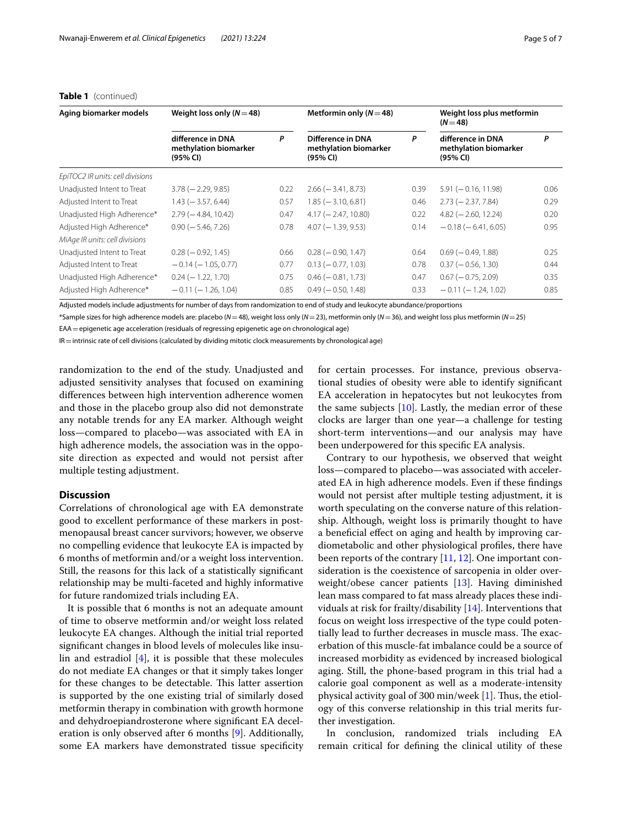| Aging biomarker models           | Weight loss only $(N=48)$                              |      | Metformin only $(N=48)$                                |      | Weight loss plus metformin<br>$(N = 48)$               |      |
|----------------------------------|--------------------------------------------------------|------|--------------------------------------------------------|------|--------------------------------------------------------|------|
|                                  | difference in DNA<br>methylation biomarker<br>(95% CI) | P    | Difference in DNA<br>methylation biomarker<br>(95% CI) | P    | difference in DNA<br>methylation biomarker<br>(95% CI) | P    |
| EpiTOC2 IR units: cell divisions |                                                        |      |                                                        |      |                                                        |      |
| Unadjusted Intent to Treat       | $3.78 (-2.29, 9.85)$                                   | 0.22 | $2.66$ ( $-3.41$ , 8.73)                               | 0.39 | $5.91 (-0.16, 11.98)$                                  | 0.06 |
| Adjusted Intent to Treat         | $1.43 (-3.57, 6.44)$                                   | 0.57 | $1.85 (-3.10, 6.81)$                                   | 0.46 | $2.73 (-2.37, 7.84)$                                   | 0.29 |
| Unadjusted High Adherence*       | $2.79$ ( $-4.84$ , 10.42)                              | 0.47 | $4.17 (-2.47, 10.80)$                                  | 0.22 | $4.82$ (-2.60, 12.24)                                  | 0.20 |
| Adjusted High Adherence*         | $0.90$ ( $-5.46$ , 7.26)                               | 0.78 | $4.07 (-1.39, 9.53)$                                   | 0.14 | $-0.18$ ( $-6.41$ , 6.05)                              | 0.95 |
| MiAge IR units: cell divisions   |                                                        |      |                                                        |      |                                                        |      |
| Unadjusted Intent to Treat       | $0.28 (-0.92, 1.45)$                                   | 0.66 | $0.28 (-0.90, 1.47)$                                   | 0.64 | $0.69$ ( $-0.49$ , 1.88)                               | 0.25 |
| Adjusted Intent to Treat         | $-0.14$ ( $-1.05$ , 0.77)                              | 0.77 | $0.13 (-0.77, 1.03)$                                   | 0.78 | $0.37 (-0.56, 1.30)$                                   | 0.44 |
| Unadjusted High Adherence*       | $0.24 (-1.22, 1.70)$                                   | 0.75 | $0.46$ ( $-0.81$ , 1.73)                               | 0.47 | $0.67 (-0.75, 2.09)$                                   | 0.35 |
| Adjusted High Adherence*         | $-0.11 (-1.26, 1.04)$                                  | 0.85 | $0.49$ ( $-0.50$ , 1.48)                               | 0.33 | $-0.11 (-1.24, 1.02)$                                  | 0.85 |

#### **Table 1** (continued)

Adjusted models include adjustments for number of days from randomization to end of study and leukocyte abundance/proportions

\*Sample sizes for high adherence models are: placebo (*N*=48), weight loss only (*N*=23), metformin only (*N*=36), and weight loss plus metformin (*N*=25) EAA=epigenetic age acceleration (residuals of regressing epigenetic age on chronological age)

IR=intrinsic rate of cell divisions (calculated by dividing mitotic clock measurements by chronological age)

randomization to the end of the study. Unadjusted and adjusted sensitivity analyses that focused on examining diferences between high intervention adherence women and those in the placebo group also did not demonstrate any notable trends for any EA marker. Although weight loss—compared to placebo—was associated with EA in high adherence models, the association was in the opposite direction as expected and would not persist after multiple testing adjustment.

#### **Discussion**

Correlations of chronological age with EA demonstrate good to excellent performance of these markers in postmenopausal breast cancer survivors; however, we observe no compelling evidence that leukocyte EA is impacted by 6 months of metformin and/or a weight loss intervention. Still, the reasons for this lack of a statistically signifcant relationship may be multi-faceted and highly informative for future randomized trials including EA.

It is possible that 6 months is not an adequate amount of time to observe metformin and/or weight loss related leukocyte EA changes. Although the initial trial reported signifcant changes in blood levels of molecules like insulin and estradiol [[4\]](#page-5-3), it is possible that these molecules do not mediate EA changes or that it simply takes longer for these changes to be detectable. This latter assertion is supported by the one existing trial of similarly dosed metformin therapy in combination with growth hormone and dehydroepiandrosterone where signifcant EA deceleration is only observed after 6 months [\[9\]](#page-5-8). Additionally, some EA markers have demonstrated tissue specifcity for certain processes. For instance, previous observational studies of obesity were able to identify signifcant EA acceleration in hepatocytes but not leukocytes from the same subjects  $[10]$  $[10]$ . Lastly, the median error of these clocks are larger than one year—a challenge for testing short-term interventions—and our analysis may have been underpowered for this specifc EA analysis.

Contrary to our hypothesis, we observed that weight loss—compared to placebo—was associated with accelerated EA in high adherence models. Even if these fndings would not persist after multiple testing adjustment, it is worth speculating on the converse nature of this relationship. Although, weight loss is primarily thought to have a benefcial efect on aging and health by improving cardiometabolic and other physiological profles, there have been reports of the contrary [[11](#page-5-10), [12\]](#page-5-11). One important consideration is the coexistence of sarcopenia in older overweight/obese cancer patients [[13](#page-5-12)]. Having diminished lean mass compared to fat mass already places these individuals at risk for frailty/disability [\[14](#page-5-13)]. Interventions that focus on weight loss irrespective of the type could potentially lead to further decreases in muscle mass. The exacerbation of this muscle-fat imbalance could be a source of increased morbidity as evidenced by increased biological aging. Still, the phone-based program in this trial had a calorie goal component as well as a moderate-intensity physical activity goal of 300 min/week  $[1]$  $[1]$ . Thus, the etiology of this converse relationship in this trial merits further investigation.

In conclusion, randomized trials including EA remain critical for defning the clinical utility of these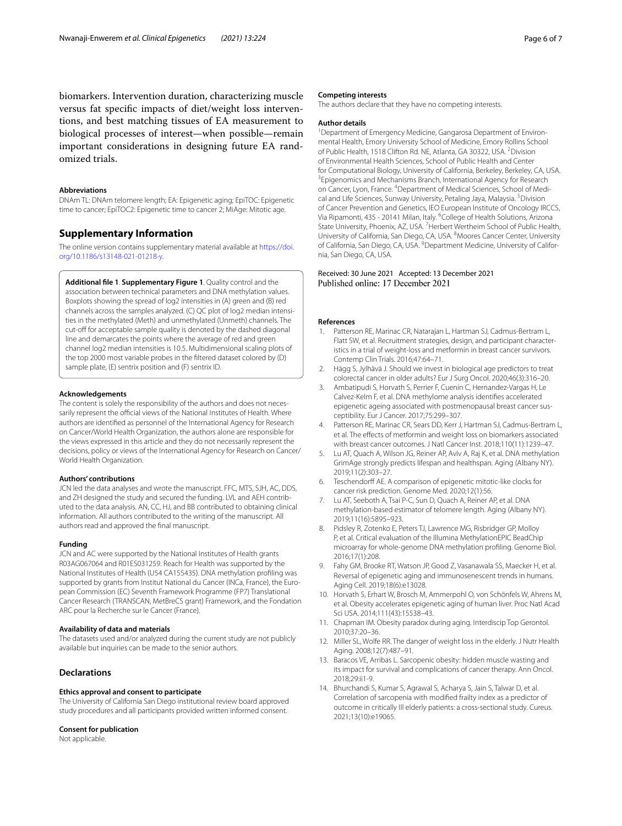biomarkers. Intervention duration, characterizing muscle versus fat specifc impacts of diet/weight loss interventions, and best matching tissues of EA measurement to biological processes of interest—when possible—remain important considerations in designing future EA randomized trials.

#### **Abbreviations**

DNAm TL: DNAm telomere length; EA: Epigenetic aging; EpiTOC: Epigenetic time to cancer; EpiTOC2: Epigenetic time to cancer 2; MiAge: Mitotic age.

#### **Supplementary Information**

The online version contains supplementary material available at [https://doi.](https://doi.org/10.1186/s13148-021-01218-y) [org/10.1186/s13148-021-01218-y.](https://doi.org/10.1186/s13148-021-01218-y)

<span id="page-5-7"></span>**Additional fle 1**. **Supplementary Figure 1**. Quality control and the association between technical parameters and DNA methylation values. Boxplots showing the spread of log2 intensities in (A) green and (B) red channels across the samples analyzed. (C) QC plot of log2 median intensities in the methylated (Meth) and unmethylated (Unmeth) channels. The cut-off for acceptable sample quality is denoted by the dashed diagonal line and demarcates the points where the average of red and green channel log2 median intensities is 10.5. Multidimensional scaling plots of the top 2000 most variable probes in the fltered dataset colored by (D) sample plate, (E) sentrix position and (F) sentrix ID.

#### **Acknowledgements**

The content is solely the responsibility of the authors and does not necessarily represent the official views of the National Institutes of Health. Where authors are identifed as personnel of the International Agency for Research on Cancer/World Health Organization, the authors alone are responsible for the views expressed in this article and they do not necessarily represent the decisions, policy or views of the International Agency for Research on Cancer/ World Health Organization.

#### **Authors' contributions**

JCN led the data analyses and wrote the manuscript. FFC, MTS, SJH, AC, DDS, and ZH designed the study and secured the funding. LVL and AEH contributed to the data analysis. AN, CC, HJ, and BB contributed to obtaining clinical information. All authors contributed to the writing of the manuscript. All authors read and approved the fnal manuscript.

#### **Funding**

JCN and AC were supported by the National Institutes of Health grants R03AG067064 and R01ES031259. Reach for Health was supported by the National Institutes of Health (U54 CA155435). DNA methylation profling was supported by grants from Institut National du Cancer (INCa, France), the European Commission (EC) Seventh Framework Programme (FP7) Translational Cancer Research (TRANSCAN, MetBreCS grant) Framework, and the Fondation ARC pour la Recherche sur le Cancer (France).

#### **Availability of data and materials**

The datasets used and/or analyzed during the current study are not publicly available but inquiries can be made to the senior authors.

#### **Declarations**

#### **Ethics approval and consent to participate**

The University of California San Diego institutional review board approved study procedures and all participants provided written informed consent.

#### **Consent for publication**

Not applicable.

#### **Competing interests**

The authors declare that they have no competing interests.

#### **Author details**

<sup>1</sup> Department of Emergency Medicine, Gangarosa Department of Environmental Health, Emory University School of Medicine, Emory Rollins School of Public Health, 1518 Clifton Rd. NE, Atlanta, GA 30322, USA. <sup>2</sup> Division of Environmental Health Sciences, School of Public Health and Center for Computational Biology, University of California, Berkeley, Berkeley, CA, USA. <sup>3</sup> Epigenomics and Mechanisms Branch, International Agency for Research on Cancer, Lyon, France. <sup>4</sup>Department of Medical Sciences, School of Medical and Life Sciences, Sunway University, Petaling Jaya, Malaysia. <sup>5</sup> Division of Cancer Prevention and Genetics, IEO European Institute of Oncology IRCCS, Via Ripamonti, 435 - 20141 Milan, Italy. <sup>6</sup>College of Health Solutions, Arizona State University, Phoenix, AZ, USA. <sup>7</sup> Herbert Wertheim School of Public Health, University of California, San Diego, CA, USA. <sup>8</sup> Moores Cancer Center, University of California, San Diego, CA, USA. <sup>9</sup> Department Medicine, University of California, San Diego, CA, USA.

# Received: 30 June 2021 Accepted: 13 December 2021

#### **References**

- <span id="page-5-0"></span>1. Patterson RE, Marinac CR, Natarajan L, Hartman SJ, Cadmus-Bertram L, Flatt SW, et al. Recruitment strategies, design, and participant characteristics in a trial of weight-loss and metformin in breast cancer survivors. Contemp Clin Trials. 2016;47:64–71.
- <span id="page-5-1"></span>2. Hägg S, Jylhävä J. Should we invest in biological age predictors to treat colorectal cancer in older adults? Eur J Surg Oncol. 2020;46(3):316–20.
- <span id="page-5-2"></span>3. Ambatipudi S, Horvath S, Perrier F, Cuenin C, Hernandez-Vargas H, Le Calvez-Kelm F, et al. DNA methylome analysis identifes accelerated epigenetic ageing associated with postmenopausal breast cancer susceptibility. Eur J Cancer. 2017;75:299–307.
- <span id="page-5-3"></span>4. Patterson RE, Marinac CR, Sears DD, Kerr J, Hartman SJ, Cadmus-Bertram L, et al. The efects of metformin and weight loss on biomarkers associated with breast cancer outcomes. J Natl Cancer Inst. 2018;110(11):1239–47.
- <span id="page-5-4"></span>5. Lu AT, Quach A, Wilson JG, Reiner AP, Aviv A, Raj K, et al. DNA methylation GrimAge strongly predicts lifespan and healthspan. Aging (Albany NY). 2019;11(2):303–27.
- 6. Teschendorff AE. A comparison of epigenetic mitotic-like clocks for cancer risk prediction. Genome Med. 2020;12(1):56.
- <span id="page-5-5"></span>7. Lu AT, Seeboth A, Tsai P-C, Sun D, Quach A, Reiner AP, et al. DNA methylation-based estimator of telomere length. Aging (Albany NY). 2019;11(16):5895–923.
- <span id="page-5-6"></span>8. Pidsley R, Zotenko E, Peters TJ, Lawrence MG, Risbridger GP, Molloy P, et al. Critical evaluation of the Illumina MethylationEPIC BeadChip microarray for whole-genome DNA methylation profling. Genome Biol. 2016;17(1):208.
- <span id="page-5-8"></span>9. Fahy GM, Brooke RT, Watson JP, Good Z, Vasanawala SS, Maecker H, et al. Reversal of epigenetic aging and immunosenescent trends in humans. Aging Cell. 2019;18(6):e13028.
- <span id="page-5-9"></span>10. Horvath S, Erhart W, Brosch M, Ammerpohl O, von Schönfels W, Ahrens M, et al. Obesity accelerates epigenetic aging of human liver. Proc Natl Acad Sci USA. 2014;111(43):15538–43.
- <span id="page-5-10"></span>11. Chapman IM. Obesity paradox during aging. Interdiscip Top Gerontol. 2010;37:20–36.
- <span id="page-5-11"></span>12. Miller SL, Wolfe RR. The danger of weight loss in the elderly. J Nutr Health Aging. 2008;12(7):487–91.
- <span id="page-5-12"></span>13. Baracos VE, Arribas L. Sarcopenic obesity: hidden muscle wasting and its impact for survival and complications of cancer therapy. Ann Oncol. 2018;29:ii1-9.
- <span id="page-5-13"></span>14. Bhurchandi S, Kumar S, Agrawal S, Acharya S, Jain S, Talwar D, et al. Correlation of sarcopenia with modifed frailty index as a predictor of outcome in critically Ill elderly patients: a cross-sectional study. Cureus. 2021;13(10):e19065.